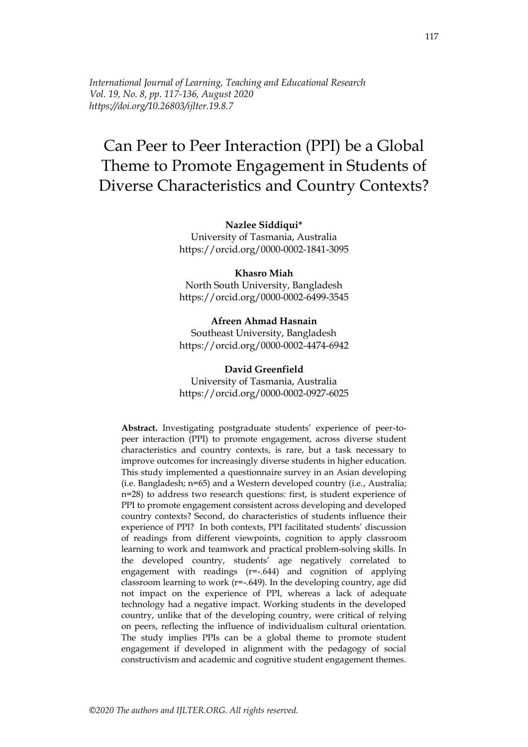*International Journal of Learning, Teaching and Educational Research Vol. 19, No. 8, pp. 117-136, August 2020 https://doi.org/10.26803/ijlter.19.8.7*

# Can Peer to Peer Interaction (PPI) be a Global Theme to Promote Engagement in Students of Diverse Characteristics and Country Contexts?

#### **Nazlee Siddiqui\***

University of Tasmania, Australia https://orcid.org/0000-0002-1841-3095

#### **Khasro Miah**

North South University, Bangladesh https://orcid.org/0000-0002-6499-3545

**Afreen Ahmad Hasnain** Southeast University, Bangladesh https://orcid.org/0000-0002-4474-6942

#### **David Greenfield**

University of Tasmania, Australia https://orcid.org/0000-0002-0927-6025

**Abstract.** Investigating postgraduate students' experience of peer-topeer interaction (PPI) to promote engagement, across diverse student characteristics and country contexts, is rare, but a task necessary to improve outcomes for increasingly diverse students in higher education. This study implemented a questionnaire survey in an Asian developing (i.e. Bangladesh; n=65) and a Western developed country (i.e., Australia; n=28) to address two research questions: first, is student experience of PPI to promote engagement consistent across developing and developed country contexts? Second, do characteristics of students influence their experience of PPI? In both contexts, PPI facilitated students' discussion of readings from different viewpoints, cognition to apply classroom learning to work and teamwork and practical problem-solving skills. In the developed country, students' age negatively correlated to engagement with readings (r=-.644) and cognition of applying classroom learning to work ( $r=-.649$ ). In the developing country, age did not impact on the experience of PPI, whereas a lack of adequate technology had a negative impact. Working students in the developed country, unlike that of the developing country, were critical of relying on peers, reflecting the influence of individualism cultural orientation. The study implies PPIs can be a global theme to promote student engagement if developed in alignment with the pedagogy of social constructivism and academic and cognitive student engagement themes.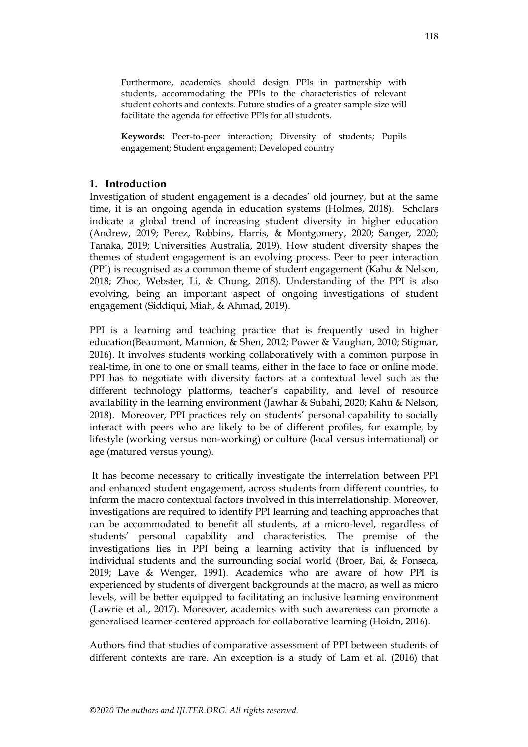Furthermore, academics should design PPIs in partnership with students, accommodating the PPIs to the characteristics of relevant student cohorts and contexts. Future studies of a greater sample size will facilitate the agenda for effective PPIs for all students.

**Keywords:** Peer-to-peer interaction; Diversity of students; Pupils engagement; Student engagement; Developed country

## **1. Introduction**

Investigation of student engagement is a decades' old journey, but at the same time, it is an ongoing agenda in education systems (Holmes, 2018). Scholars indicate a global trend of increasing student diversity in higher education (Andrew, 2019; Perez, Robbins, Harris, & Montgomery, 2020; Sanger, 2020; Tanaka, 2019; Universities Australia, 2019). How student diversity shapes the themes of student engagement is an evolving process. Peer to peer interaction (PPI) is recognised as a common theme of student engagement (Kahu & Nelson, 2018; Zhoc, Webster, Li, & Chung, 2018). Understanding of the PPI is also evolving, being an important aspect of ongoing investigations of student engagement (Siddiqui, Miah, & Ahmad, 2019).

PPI is a learning and teaching practice that is frequently used in higher education(Beaumont, Mannion, & Shen, 2012; Power & Vaughan, 2010; Stigmar, 2016). It involves students working collaboratively with a common purpose in real-time, in one to one or small teams, either in the face to face or online mode. PPI has to negotiate with diversity factors at a contextual level such as the different technology platforms, teacher's capability, and level of resource availability in the learning environment (Jawhar & Subahi, 2020; Kahu & Nelson, 2018). Moreover, PPI practices rely on students' personal capability to socially interact with peers who are likely to be of different profiles, for example, by lifestyle (working versus non-working) or culture (local versus international) or age (matured versus young).

It has become necessary to critically investigate the interrelation between PPI and enhanced student engagement, across students from different countries, to inform the macro contextual factors involved in this interrelationship. Moreover, investigations are required to identify PPI learning and teaching approaches that can be accommodated to benefit all students, at a micro-level, regardless of students' personal capability and characteristics. The premise of the investigations lies in PPI being a learning activity that is influenced by individual students and the surrounding social world (Broer, Bai, & Fonseca, 2019; Lave & Wenger, 1991). Academics who are aware of how PPI is experienced by students of divergent backgrounds at the macro, as well as micro levels, will be better equipped to facilitating an inclusive learning environment (Lawrie et al., 2017). Moreover, academics with such awareness can promote a generalised learner-centered approach for collaborative learning (Hoidn, 2016).

Authors find that studies of comparative assessment of PPI between students of different contexts are rare. An exception is a study of Lam et al. (2016) that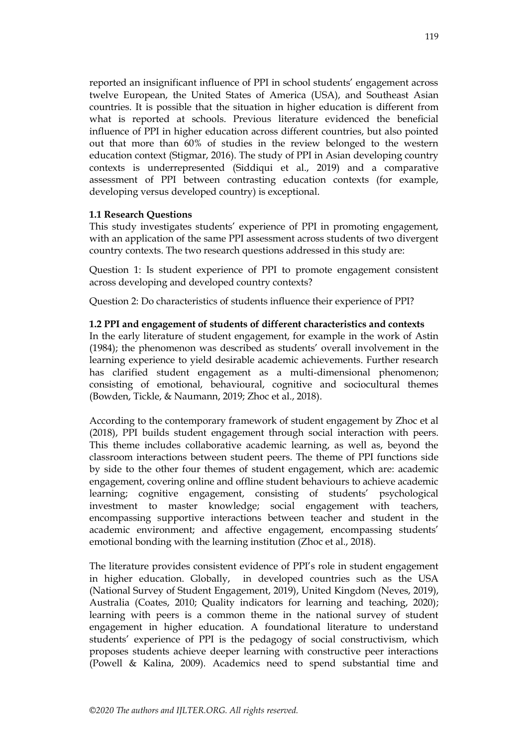reported an insignificant influence of PPI in school students' engagement across twelve European, the United States of America (USA), and Southeast Asian countries. It is possible that the situation in higher education is different from what is reported at schools. Previous literature evidenced the beneficial influence of PPI in higher education across different countries, but also pointed out that more than 60% of studies in the review belonged to the western education context (Stigmar, 2016). The study of PPI in Asian developing country contexts is underrepresented (Siddiqui et al., 2019) and a comparative assessment of PPI between contrasting education contexts (for example, developing versus developed country) is exceptional.

## **1.1 Research Questions**

This study investigates students' experience of PPI in promoting engagement, with an application of the same PPI assessment across students of two divergent country contexts. The two research questions addressed in this study are:

Question 1: Is student experience of PPI to promote engagement consistent across developing and developed country contexts?

Question 2: Do characteristics of students influence their experience of PPI?

#### **1.2 PPI and engagement of students of different characteristics and contexts**

In the early literature of student engagement, for example in the work of Astin (1984); the phenomenon was described as students' overall involvement in the learning experience to yield desirable academic achievements. Further research has clarified student engagement as a multi-dimensional phenomenon; consisting of emotional, behavioural, cognitive and sociocultural themes (Bowden, Tickle, & Naumann, 2019; Zhoc et al., 2018).

According to the contemporary framework of student engagement by Zhoc et al (2018), PPI builds student engagement through social interaction with peers. This theme includes collaborative academic learning, as well as, beyond the classroom interactions between student peers. The theme of PPI functions side by side to the other four themes of student engagement, which are: academic engagement, covering online and offline student behaviours to achieve academic learning; cognitive engagement, consisting of students' psychological investment to master knowledge; social engagement with teachers, encompassing supportive interactions between teacher and student in the academic environment; and affective engagement, encompassing students' emotional bonding with the learning institution (Zhoc et al., 2018).

The literature provides consistent evidence of PPI's role in student engagement in higher education. Globally, in developed countries such as the USA (National Survey of Student Engagement, 2019), United Kingdom (Neves, 2019), Australia (Coates, 2010; Quality indicators for learning and teaching, 2020); learning with peers is a common theme in the national survey of student engagement in higher education. A foundational literature to understand students' experience of PPI is the pedagogy of social constructivism, which proposes students achieve deeper learning with constructive peer interactions (Powell & Kalina, 2009). Academics need to spend substantial time and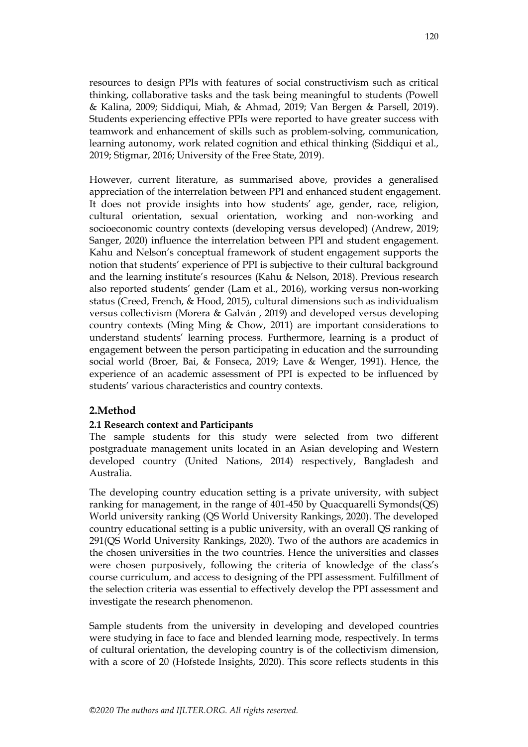resources to design PPIs with features of social constructivism such as critical thinking, collaborative tasks and the task being meaningful to students (Powell & Kalina, 2009; Siddiqui, Miah, & Ahmad, 2019; Van Bergen & Parsell, 2019). Students experiencing effective PPIs were reported to have greater success with teamwork and enhancement of skills such as problem-solving, communication, learning autonomy, work related cognition and ethical thinking (Siddiqui et al., 2019; Stigmar, 2016; University of the Free State, 2019).

However, current literature, as summarised above, provides a generalised appreciation of the interrelation between PPI and enhanced student engagement. It does not provide insights into how students' age, gender, race, religion, cultural orientation, sexual orientation, working and non-working and socioeconomic country contexts (developing versus developed) (Andrew, 2019; Sanger, 2020) influence the interrelation between PPI and student engagement. Kahu and Nelson's conceptual framework of student engagement supports the notion that students' experience of PPI is subjective to their cultural background and the learning institute's resources (Kahu & Nelson, 2018). Previous research also reported students' gender (Lam et al., 2016), working versus non-working status (Creed, French, & Hood, 2015), cultural dimensions such as individualism versus collectivism (Morera & Galván , 2019) and developed versus developing country contexts (Ming Ming & Chow, 2011) are important considerations to understand students' learning process. Furthermore, learning is a product of engagement between the person participating in education and the surrounding social world (Broer, Bai, & Fonseca, 2019; Lave & Wenger, 1991). Hence, the experience of an academic assessment of PPI is expected to be influenced by students' various characteristics and country contexts.

## **2.Method**

## **2.1 Research context and Participants**

The sample students for this study were selected from two different postgraduate management units located in an Asian developing and Western developed country (United Nations, 2014) respectively, Bangladesh and Australia.

The developing country education setting is a private university, with subject ranking for management, in the range of 401-450 by Quacquarelli Symonds(QS) World university ranking (QS World University Rankings, 2020). The developed country educational setting is a public university, with an overall QS ranking of 291(QS World University Rankings, 2020). Two of the authors are academics in the chosen universities in the two countries. Hence the universities and classes were chosen purposively, following the criteria of knowledge of the class's course curriculum, and access to designing of the PPI assessment. Fulfillment of the selection criteria was essential to effectively develop the PPI assessment and investigate the research phenomenon.

Sample students from the university in developing and developed countries were studying in face to face and blended learning mode, respectively. In terms of cultural orientation, the developing country is of the collectivism dimension, with a score of 20 (Hofstede Insights, 2020). This score reflects students in this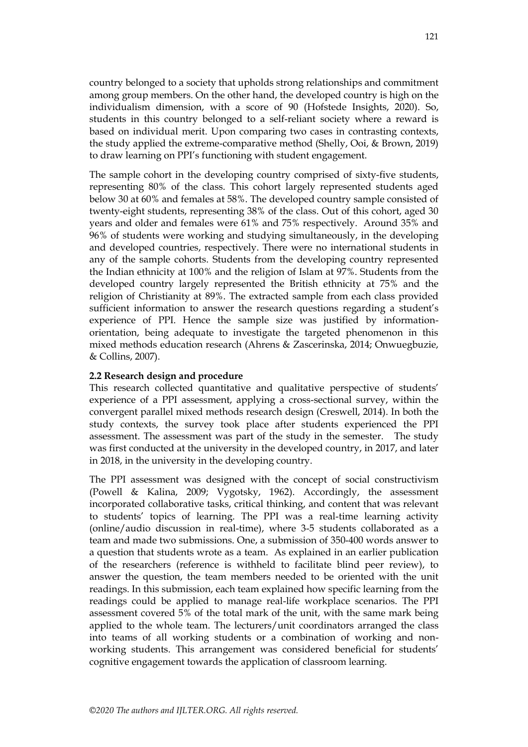country belonged to a society that upholds strong relationships and commitment among group members. On the other hand, the developed country is high on the individualism dimension, with a score of 90 (Hofstede Insights, 2020). So, students in this country belonged to a self-reliant society where a reward is based on individual merit. Upon comparing two cases in contrasting contexts, the study applied the extreme-comparative method (Shelly, Ooi, & Brown, 2019) to draw learning on PPI's functioning with student engagement.

The sample cohort in the developing country comprised of sixty-five students, representing 80% of the class. This cohort largely represented students aged below 30 at 60% and females at 58%. The developed country sample consisted of twenty-eight students, representing 38% of the class. Out of this cohort, aged 30 years and older and females were 61% and 75% respectively. Around 35% and 96% of students were working and studying simultaneously, in the developing and developed countries, respectively. There were no international students in any of the sample cohorts. Students from the developing country represented the Indian ethnicity at 100% and the religion of Islam at 97%. Students from the developed country largely represented the British ethnicity at 75% and the religion of Christianity at 89%. The extracted sample from each class provided sufficient information to answer the research questions regarding a student's experience of PPI. Hence the sample size was justified by informationorientation, being adequate to investigate the targeted phenomenon in this mixed methods education research (Ahrens & Zascerinska, 2014; Onwuegbuzie, & Collins, 2007).

#### **2.2 Research design and procedure**

This research collected quantitative and qualitative perspective of students' experience of a PPI assessment, applying a cross-sectional survey, within the convergent parallel mixed methods research design (Creswell, 2014). In both the study contexts, the survey took place after students experienced the PPI assessment. The assessment was part of the study in the semester. The study was first conducted at the university in the developed country, in 2017, and later in 2018, in the university in the developing country.

The PPI assessment was designed with the concept of social constructivism (Powell & Kalina, 2009; Vygotsky, 1962). Accordingly, the assessment incorporated collaborative tasks, critical thinking, and content that was relevant to students' topics of learning. The PPI was a real-time learning activity (online/audio discussion in real-time), where 3-5 students collaborated as a team and made two submissions. One, a submission of 350-400 words answer to a question that students wrote as a team. As explained in an earlier publication of the researchers (reference is withheld to facilitate blind peer review), to answer the question, the team members needed to be oriented with the unit readings. In this submission, each team explained how specific learning from the readings could be applied to manage real-life workplace scenarios. The PPI assessment covered 5% of the total mark of the unit, with the same mark being applied to the whole team. The lecturers/unit coordinators arranged the class into teams of all working students or a combination of working and nonworking students. This arrangement was considered beneficial for students' cognitive engagement towards the application of classroom learning.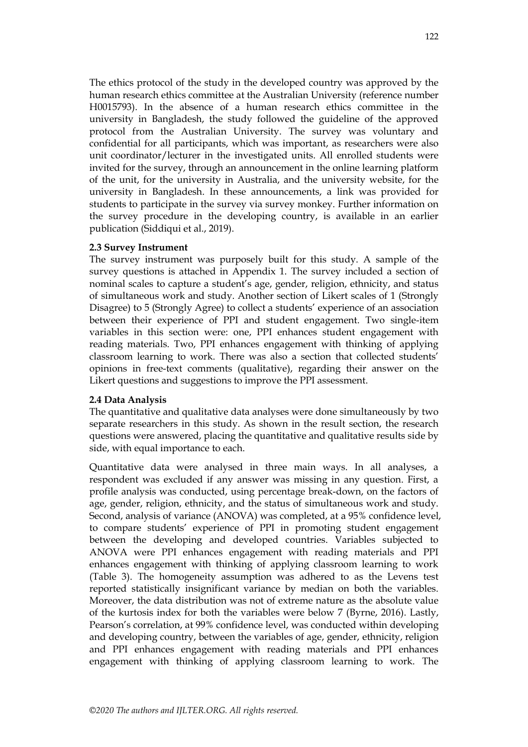The ethics protocol of the study in the developed country was approved by the human research ethics committee at the Australian University (reference number H0015793). In the absence of a human research ethics committee in the university in Bangladesh, the study followed the guideline of the approved protocol from the Australian University. The survey was voluntary and confidential for all participants, which was important, as researchers were also unit coordinator/lecturer in the investigated units. All enrolled students were invited for the survey, through an announcement in the online learning platform of the unit, for the university in Australia, and the university website, for the university in Bangladesh. In these announcements, a link was provided for students to participate in the survey via survey monkey. Further information on the survey procedure in the developing country, is available in an earlier publication (Siddiqui et al., 2019).

#### **2.3 Survey Instrument**

The survey instrument was purposely built for this study. A sample of the survey questions is attached in Appendix 1. The survey included a section of nominal scales to capture a student's age, gender, religion, ethnicity, and status of simultaneous work and study. Another section of Likert scales of 1 (Strongly Disagree) to 5 (Strongly Agree) to collect a students' experience of an association between their experience of PPI and student engagement. Two single-item variables in this section were: one, PPI enhances student engagement with reading materials. Two, PPI enhances engagement with thinking of applying classroom learning to work. There was also a section that collected students' opinions in free-text comments (qualitative), regarding their answer on the Likert questions and suggestions to improve the PPI assessment.

#### **2.4 Data Analysis**

The quantitative and qualitative data analyses were done simultaneously by two separate researchers in this study. As shown in the result section, the research questions were answered, placing the quantitative and qualitative results side by side, with equal importance to each.

Quantitative data were analysed in three main ways. In all analyses, a respondent was excluded if any answer was missing in any question. First, a profile analysis was conducted, using percentage break-down, on the factors of age, gender, religion, ethnicity, and the status of simultaneous work and study. Second, analysis of variance (ANOVA) was completed, at a 95% confidence level, to compare students' experience of PPI in promoting student engagement between the developing and developed countries. Variables subjected to ANOVA were PPI enhances engagement with reading materials and PPI enhances engagement with thinking of applying classroom learning to work (Table 3). The homogeneity assumption was adhered to as the Levens test reported statistically insignificant variance by median on both the variables. Moreover, the data distribution was not of extreme nature as the absolute value of the kurtosis index for both the variables were below 7 (Byrne, 2016). Lastly, Pearson's correlation, at 99% confidence level, was conducted within developing and developing country, between the variables of age, gender, ethnicity, religion and PPI enhances engagement with reading materials and PPI enhances engagement with thinking of applying classroom learning to work. The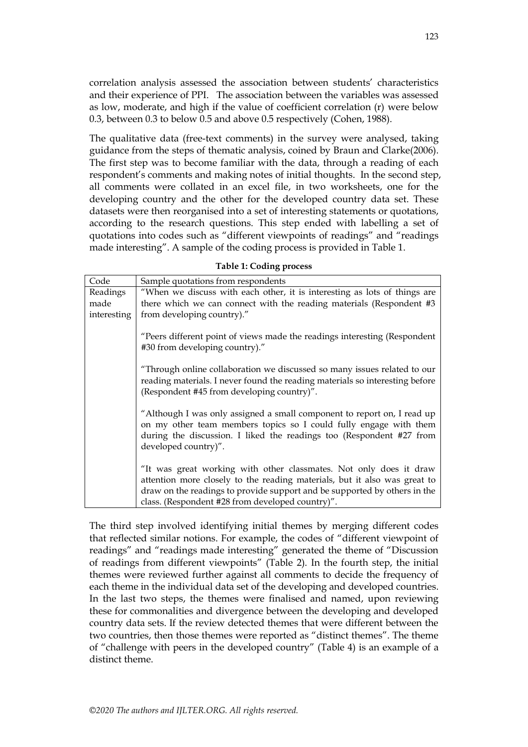correlation analysis assessed the association between students' characteristics and their experience of PPI. The association between the variables was assessed as low, moderate, and high if the value of coefficient correlation (r) were below 0.3, between 0.3 to below 0.5 and above 0.5 respectively (Cohen, 1988).

The qualitative data (free-text comments) in the survey were analysed, taking guidance from the steps of thematic analysis, coined by Braun and Clarke(2006). The first step was to become familiar with the data, through a reading of each respondent's comments and making notes of initial thoughts. In the second step, all comments were collated in an excel file, in two worksheets, one for the developing country and the other for the developed country data set. These datasets were then reorganised into a set of interesting statements or quotations, according to the research questions. This step ended with labelling a set of quotations into codes such as "different viewpoints of readings" and "readings made interesting". A sample of the coding process is provided in Table 1.

| Code        | Sample quotations from respondents                                                                                                                                                                                                                                               |  |  |
|-------------|----------------------------------------------------------------------------------------------------------------------------------------------------------------------------------------------------------------------------------------------------------------------------------|--|--|
| Readings    | "When we discuss with each other, it is interesting as lots of things are                                                                                                                                                                                                        |  |  |
| made        | there which we can connect with the reading materials (Respondent #3                                                                                                                                                                                                             |  |  |
| interesting | from developing country)."                                                                                                                                                                                                                                                       |  |  |
|             | "Peers different point of views made the readings interesting (Respondent<br>#30 from developing country)."                                                                                                                                                                      |  |  |
|             | "Through online collaboration we discussed so many issues related to our<br>reading materials. I never found the reading materials so interesting before<br>(Respondent #45 from developing country)".                                                                           |  |  |
|             | "Although I was only assigned a small component to report on, I read up<br>on my other team members topics so I could fully engage with them<br>during the discussion. I liked the readings too (Respondent #27 from<br>developed country)".                                     |  |  |
|             | "It was great working with other classmates. Not only does it draw<br>attention more closely to the reading materials, but it also was great to<br>draw on the readings to provide support and be supported by others in the<br>class. (Respondent #28 from developed country)". |  |  |

**Table 1: Coding process**

The third step involved identifying initial themes by merging different codes that reflected similar notions. For example, the codes of "different viewpoint of readings" and "readings made interesting" generated the theme of "Discussion of readings from different viewpoints" (Table 2). In the fourth step, the initial themes were reviewed further against all comments to decide the frequency of each theme in the individual data set of the developing and developed countries. In the last two steps, the themes were finalised and named, upon reviewing these for commonalities and divergence between the developing and developed country data sets. If the review detected themes that were different between the two countries, then those themes were reported as "distinct themes". The theme of "challenge with peers in the developed country" (Table 4) is an example of a distinct theme.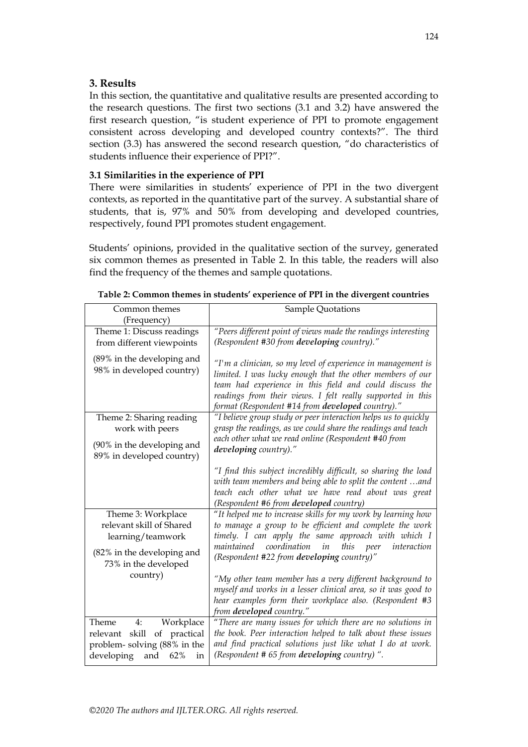## **3. Results**

In this section, the quantitative and qualitative results are presented according to the research questions. The first two sections (3.1 and 3.2) have answered the first research question, "is student experience of PPI to promote engagement consistent across developing and developed country contexts?". The third section (3.3) has answered the second research question, "do characteristics of students influence their experience of PPI?".

## **3.1 Similarities in the experience of PPI**

There were similarities in students' experience of PPI in the two divergent contexts, as reported in the quantitative part of the survey. A substantial share of students, that is, 97% and 50% from developing and developed countries, respectively, found PPI promotes student engagement.

Students' opinions, provided in the qualitative section of the survey, generated six common themes as presented in Table 2. In this table, the readers will also find the frequency of the themes and sample quotations.

| Common themes                                           | Sample Quotations                                                                                              |  |  |
|---------------------------------------------------------|----------------------------------------------------------------------------------------------------------------|--|--|
| (Frequency)                                             |                                                                                                                |  |  |
| Theme 1: Discuss readings                               | "Peers different point of views made the readings interesting                                                  |  |  |
| from different viewpoints                               | (Respondent #30 from developing country)."                                                                     |  |  |
| (89% in the developing and<br>98% in developed country) | "I'm a clinician, so my level of experience in management is                                                   |  |  |
|                                                         | limited. I was lucky enough that the other members of our                                                      |  |  |
|                                                         | team had experience in this field and could discuss the                                                        |  |  |
|                                                         | readings from their views. I felt really supported in this<br>format (Respondent #14 from developed country)." |  |  |
| Theme 2: Sharing reading                                | "I believe group study or peer interaction helps us to quickly                                                 |  |  |
| work with peers                                         | grasp the readings, as we could share the readings and teach                                                   |  |  |
| (90% in the developing and                              | each other what we read online (Respondent #40 from<br>developing country)."                                   |  |  |
| 89% in developed country)                               |                                                                                                                |  |  |
|                                                         | "I find this subject incredibly difficult, so sharing the load                                                 |  |  |
|                                                         | with team members and being able to split the content and                                                      |  |  |
|                                                         | teach each other what we have read about was great                                                             |  |  |
|                                                         | (Respondent #6 from developed country)                                                                         |  |  |
| Theme 3: Workplace                                      | "It helped me to increase skills for my work by learning how                                                   |  |  |
| relevant skill of Shared                                | to manage a group to be efficient and complete the work                                                        |  |  |
| learning/teamwork                                       | timely. I can apply the same approach with which I                                                             |  |  |
| (82% in the developing and                              | coordination<br>this<br>maintained<br>in<br>interaction<br>peer                                                |  |  |
| 73% in the developed                                    | (Respondent #22 from developing country)"                                                                      |  |  |
| country)                                                | "My other team member has a very different background to                                                       |  |  |
|                                                         | myself and works in a lesser clinical area, so it was good to                                                  |  |  |
|                                                         | hear examples form their workplace also. (Respondent #3                                                        |  |  |
|                                                         | from developed country."                                                                                       |  |  |
| Theme<br>Workplace<br>4:                                | "There are many issues for which there are no solutions in                                                     |  |  |
| of practical<br>relevant skill                          | the book. Peer interaction helped to talk about these issues                                                   |  |  |
| problem-solving (88% in the                             | and find practical solutions just like what I do at work.                                                      |  |  |
| developing<br>and<br>62%<br>in                          | (Respondent # 65 from developing country) ".                                                                   |  |  |

**Table 2: Common themes in students' experience of PPI in the divergent countries**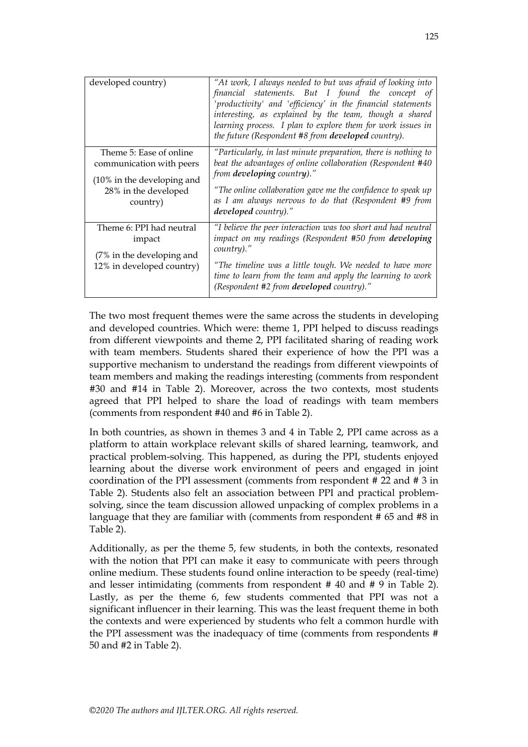| developed country)                                                                                                    | "At work, I always needed to but was afraid of looking into<br>financial statements. But I found the concept of<br>'productivity' and 'efficiency' in the financial statements<br>interesting, as explained by the team, though a shared<br>learning process. I plan to explore them for work issues in<br>the future (Respondent #8 from developed country). |
|-----------------------------------------------------------------------------------------------------------------------|---------------------------------------------------------------------------------------------------------------------------------------------------------------------------------------------------------------------------------------------------------------------------------------------------------------------------------------------------------------|
| Theme 5: Ease of online<br>communication with peers<br>(10% in the developing and<br>28% in the developed<br>country) | "Particularly, in last minute preparation, there is nothing to<br>beat the advantages of online collaboration (Respondent #40<br>from developing country)."<br>"The online collaboration gave me the confidence to speak up<br>as I am always nervous to do that (Respondent #9 from<br>developed country)."                                                  |
| Theme 6: PPI had neutral<br>impact<br>(7% in the developing and<br>12% in developed country)                          | "I believe the peer interaction was too short and had neutral<br>impact on my readings (Respondent #50 from developing<br>country)."<br>"The timeline was a little tough. We needed to have more<br>time to learn from the team and apply the learning to work<br>(Respondent #2 from developed country)."                                                    |

The two most frequent themes were the same across the students in developing and developed countries. Which were: theme 1, PPI helped to discuss readings from different viewpoints and theme 2, PPI facilitated sharing of reading work with team members. Students shared their experience of how the PPI was a supportive mechanism to understand the readings from different viewpoints of team members and making the readings interesting (comments from respondent #30 and #14 in Table 2). Moreover, across the two contexts, most students agreed that PPI helped to share the load of readings with team members (comments from respondent #40 and #6 in Table 2).

In both countries, as shown in themes 3 and 4 in Table 2, PPI came across as a platform to attain workplace relevant skills of shared learning, teamwork, and practical problem-solving. This happened, as during the PPI, students enjoyed learning about the diverse work environment of peers and engaged in joint coordination of the PPI assessment (comments from respondent # 22 and # 3 in Table 2). Students also felt an association between PPI and practical problemsolving, since the team discussion allowed unpacking of complex problems in a language that they are familiar with (comments from respondent # 65 and #8 in Table 2).

Additionally, as per the theme 5, few students, in both the contexts, resonated with the notion that PPI can make it easy to communicate with peers through online medium. These students found online interaction to be speedy (real-time) and lesser intimidating (comments from respondent # 40 and # 9 in Table 2). Lastly, as per the theme 6, few students commented that PPI was not a significant influencer in their learning. This was the least frequent theme in both the contexts and were experienced by students who felt a common hurdle with the PPI assessment was the inadequacy of time (comments from respondents # 50 and #2 in Table 2).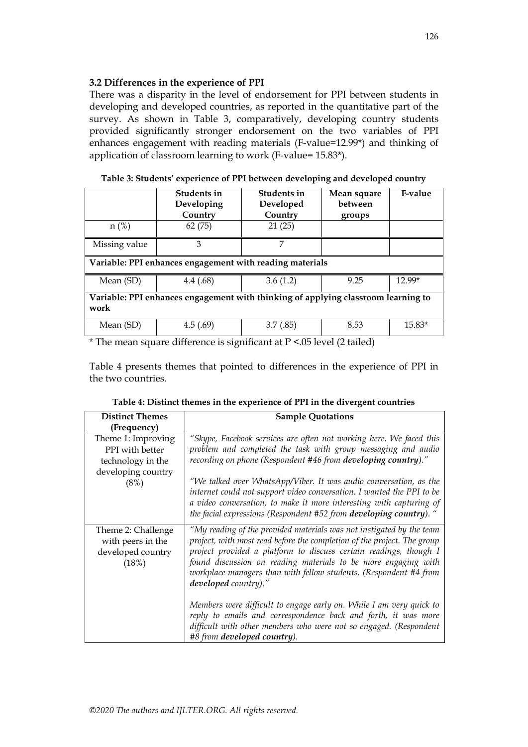## **3.2 Differences in the experience of PPI**

There was a disparity in the level of endorsement for PPI between students in developing and developed countries, as reported in the quantitative part of the survey. As shown in Table 3, comparatively, developing country students provided significantly stronger endorsement on the two variables of PPI enhances engagement with reading materials (F-value=12.99\*) and thinking of application of classroom learning to work (F-value= 15.83\*).

|                                                                                           | <b>Students in</b><br>Developing<br>Country | Students in<br>Developed<br>Country | Mean square<br>between<br>groups | <b>F-value</b> |
|-------------------------------------------------------------------------------------------|---------------------------------------------|-------------------------------------|----------------------------------|----------------|
| $n$ (%)                                                                                   | 62(75)                                      | 21(25)                              |                                  |                |
| Missing value                                                                             | 3                                           | 7                                   |                                  |                |
| Variable: PPI enhances engagement with reading materials                                  |                                             |                                     |                                  |                |
| Mean (SD)                                                                                 | 4.4(0.68)                                   | 3.6(1.2)                            | 9.25                             | 12.99*         |
| Variable: PPI enhances engagement with thinking of applying classroom learning to<br>work |                                             |                                     |                                  |                |
| Mean (SD)                                                                                 | 4.5(.69)                                    | 3.7(0.85)                           | 8.53                             | $15.83*$       |

**Table 3: Students' experience of PPI between developing and developed country**

 $*$  The mean square difference is significant at  $P \le 0.05$  level (2 tailed)

Table 4 presents themes that pointed to differences in the experience of PPI in the two countries.

| <b>Distinct Themes</b>                                                                   | <b>Sample Quotations</b>                                                                                                                                                                                                                                                                                                                                                                                                                                                                                                                                                                                                         |
|------------------------------------------------------------------------------------------|----------------------------------------------------------------------------------------------------------------------------------------------------------------------------------------------------------------------------------------------------------------------------------------------------------------------------------------------------------------------------------------------------------------------------------------------------------------------------------------------------------------------------------------------------------------------------------------------------------------------------------|
| (Frequency)                                                                              |                                                                                                                                                                                                                                                                                                                                                                                                                                                                                                                                                                                                                                  |
| Theme 1: Improving<br>PPI with better<br>technology in the<br>developing country<br>(8%) | "Skype, Facebook services are often not working here. We faced this<br>problem and completed the task with group messaging and audio<br>recording on phone (Respondent #46 from developing country)."<br>"We talked over WhatsApp/Viber. It was audio conversation, as the<br>internet could not support video conversation. I wanted the PPI to be<br>a video conversation, to make it more interesting with capturing of<br>the facial expressions (Respondent #52 from developing country). "                                                                                                                                 |
| Theme 2: Challenge<br>with peers in the<br>developed country<br>(18%)                    | "My reading of the provided materials was not instigated by the team<br>project, with most read before the completion of the project. The group<br>project provided a platform to discuss certain readings, though I<br>found discussion on reading materials to be more engaging with<br>workplace managers than with fellow students. (Respondent #4 from<br>developed country)."<br>Members were difficult to engage early on. While I am very quick to<br>reply to emails and correspondence back and forth, it was more<br>difficult with other members who were not so engaged. (Respondent<br>#8 from developed country). |

**Table 4: Distinct themes in the experience of PPI in the divergent countries**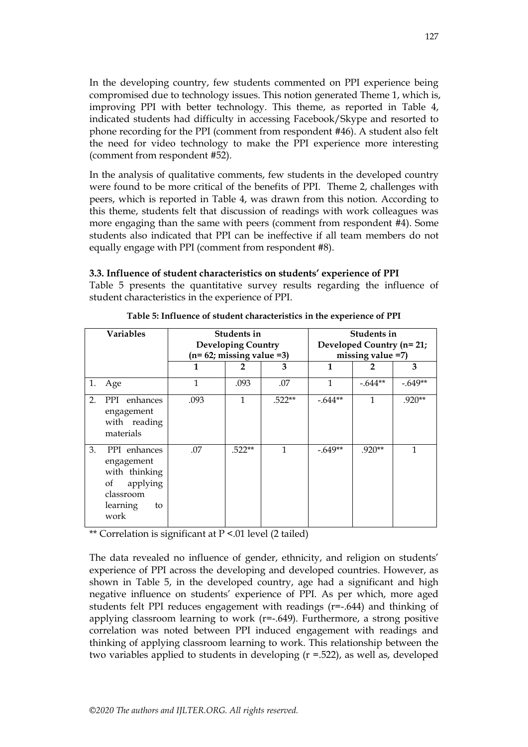In the developing country, few students commented on PPI experience being compromised due to technology issues. This notion generated Theme 1, which is, improving PPI with better technology. This theme, as reported in Table 4, indicated students had difficulty in accessing Facebook/Skype and resorted to phone recording for the PPI (comment from respondent #46). A student also felt the need for video technology to make the PPI experience more interesting (comment from respondent #52).

In the analysis of qualitative comments, few students in the developed country were found to be more critical of the benefits of PPI. Theme 2, challenges with peers, which is reported in Table 4, was drawn from this notion. According to this theme, students felt that discussion of readings with work colleagues was more engaging than the same with peers (comment from respondent #4). Some students also indicated that PPI can be ineffective if all team members do not equally engage with PPI (comment from respondent #8).

| <b>Variables</b> |                                                                                                      | Students in<br><b>Developing Country</b> |          |                      | Students in<br>Developed Country (n= 21; |           |           |
|------------------|------------------------------------------------------------------------------------------------------|------------------------------------------|----------|----------------------|------------------------------------------|-----------|-----------|
|                  |                                                                                                      | $(n=62;$ missing value =3)               |          | missing value $=7$ ) |                                          |           |           |
|                  |                                                                                                      | 1                                        |          | 3                    | 1                                        |           | 3         |
| 1.               | Age                                                                                                  | $\mathbf{1}$                             | .093     | .07                  | 1                                        | $-.644**$ | $-.649**$ |
| 2.               | PPI enhances<br>engagement<br>with reading<br>materials                                              | .093                                     | 1        | $.522**$             | $-.644**$                                | 1         | $.920**$  |
| 3.               | PPI enhances<br>engagement<br>with thinking<br>applying<br>οf<br>classroom<br>learning<br>to<br>work | .07                                      | $.522**$ | 1                    | $-.649**$                                | $.920**$  | 1         |

**Table 5: Influence of student characteristics in the experience of PPI**

Table 5 presents the quantitative survey results regarding the influence of

**3.3. Influence of student characteristics on students' experience of PPI**

\*\* Correlation is significant at P <.01 level (2 tailed)

student characteristics in the experience of PPI.

The data revealed no influence of gender, ethnicity, and religion on students' experience of PPI across the developing and developed countries. However, as shown in Table 5, in the developed country, age had a significant and high negative influence on students' experience of PPI. As per which, more aged students felt PPI reduces engagement with readings (r=-.644) and thinking of applying classroom learning to work  $(r=-.649)$ . Furthermore, a strong positive correlation was noted between PPI induced engagement with readings and thinking of applying classroom learning to work. This relationship between the two variables applied to students in developing (r =.522), as well as, developed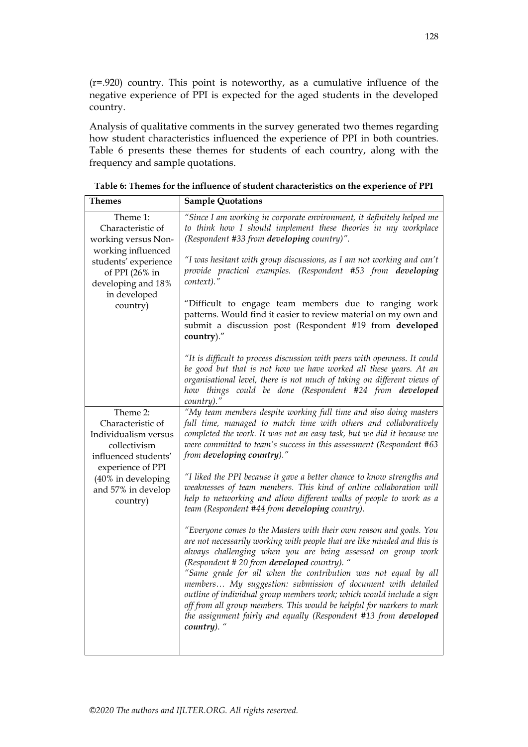(r=.920) country. This point is noteworthy, as a cumulative influence of the negative experience of PPI is expected for the aged students in the developed country.

Analysis of qualitative comments in the survey generated two themes regarding how student characteristics influenced the experience of PPI in both countries. Table 6 presents these themes for students of each country, along with the frequency and sample quotations.

| Themes                                                                                                             | <b>Sample Quotations</b>                                                                                                                                                                                                                                                                                                                                                                                                                                                                                                                                                                                                            |
|--------------------------------------------------------------------------------------------------------------------|-------------------------------------------------------------------------------------------------------------------------------------------------------------------------------------------------------------------------------------------------------------------------------------------------------------------------------------------------------------------------------------------------------------------------------------------------------------------------------------------------------------------------------------------------------------------------------------------------------------------------------------|
| Theme 1:<br>Characteristic of<br>working versus Non-<br>working influenced                                         | "Since I am working in corporate environment, it definitely helped me<br>to think how I should implement these theories in my workplace<br>(Respondent #33 from developing country)".                                                                                                                                                                                                                                                                                                                                                                                                                                               |
| students' experience<br>of PPI (26% in<br>developing and 18%<br>in developed                                       | "I was hesitant with group discussions, as I am not working and can't<br>provide practical examples. (Respondent #53 from developing<br>context)."                                                                                                                                                                                                                                                                                                                                                                                                                                                                                  |
| country)                                                                                                           | "Difficult to engage team members due to ranging work<br>patterns. Would find it easier to review material on my own and<br>submit a discussion post (Respondent #19 from developed<br>country)."                                                                                                                                                                                                                                                                                                                                                                                                                                   |
|                                                                                                                    | "It is difficult to process discussion with peers with openness. It could<br>be good but that is not how we have worked all these years. At an<br>organisational level, there is not much of taking on different views of<br>how things could be done (Respondent #24 from developed<br>country)."                                                                                                                                                                                                                                                                                                                                  |
| Theme 2:<br>Characteristic of<br>Individualism versus<br>collectivism<br>influenced students'<br>experience of PPI | "My team members despite working full time and also doing masters<br>full time, managed to match time with others and collaboratively<br>completed the work. It was not an easy task, but we did it because we<br>were committed to team's success in this assessment (Respondent #63<br>from developing country)."                                                                                                                                                                                                                                                                                                                 |
| (40% in developing<br>and 57% in develop<br>country)                                                               | "I liked the PPI because it gave a better chance to know strengths and<br>weaknesses of team members. This kind of online collaboration will<br>help to networking and allow different walks of people to work as a<br>team (Respondent #44 from developing country).                                                                                                                                                                                                                                                                                                                                                               |
|                                                                                                                    | "Everyone comes to the Masters with their own reason and goals. You<br>are not necessarily working with people that are like minded and this is<br>always challenging when you are being assessed on group work<br>(Respondent # 20 from developed country). "<br>"Same grade for all when the contribution was not equal by all<br>members My suggestion: submission of document with detailed<br>outline of individual group members work; which would include a sign<br>off from all group members. This would be helpful for markers to mark<br>the assignment fairly and equally (Respondent #13 from developed<br>country). " |

**Table 6: Themes for the influence of student characteristics on the experience of PPI**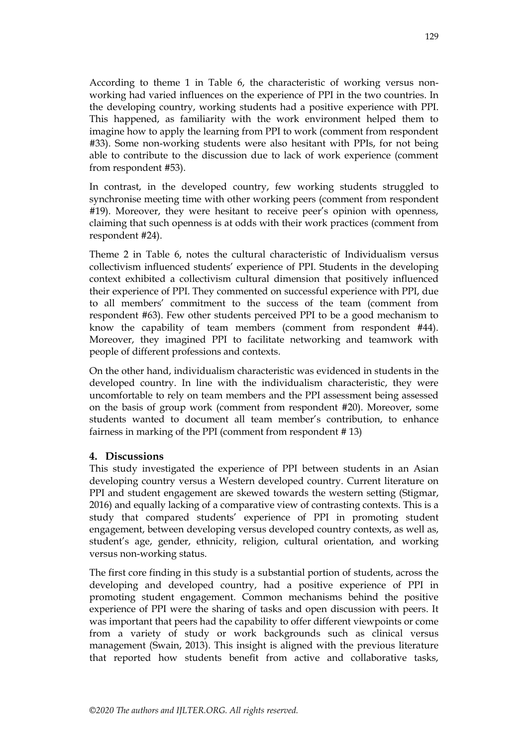According to theme 1 in Table 6, the characteristic of working versus nonworking had varied influences on the experience of PPI in the two countries. In the developing country, working students had a positive experience with PPI. This happened, as familiarity with the work environment helped them to imagine how to apply the learning from PPI to work (comment from respondent #33). Some non-working students were also hesitant with PPIs, for not being able to contribute to the discussion due to lack of work experience (comment from respondent #53).

In contrast, in the developed country, few working students struggled to synchronise meeting time with other working peers (comment from respondent #19). Moreover, they were hesitant to receive peer's opinion with openness, claiming that such openness is at odds with their work practices (comment from respondent #24).

Theme 2 in Table 6, notes the cultural characteristic of Individualism versus collectivism influenced students' experience of PPI. Students in the developing context exhibited a collectivism cultural dimension that positively influenced their experience of PPI. They commented on successful experience with PPI, due to all members' commitment to the success of the team (comment from respondent #63). Few other students perceived PPI to be a good mechanism to know the capability of team members (comment from respondent #44). Moreover, they imagined PPI to facilitate networking and teamwork with people of different professions and contexts.

On the other hand, individualism characteristic was evidenced in students in the developed country. In line with the individualism characteristic, they were uncomfortable to rely on team members and the PPI assessment being assessed on the basis of group work (comment from respondent #20). Moreover, some students wanted to document all team member's contribution, to enhance fairness in marking of the PPI (comment from respondent # 13)

## **4. Discussions**

This study investigated the experience of PPI between students in an Asian developing country versus a Western developed country. Current literature on PPI and student engagement are skewed towards the western setting (Stigmar, 2016) and equally lacking of a comparative view of contrasting contexts. This is a study that compared students' experience of PPI in promoting student engagement, between developing versus developed country contexts, as well as, student's age, gender, ethnicity, religion, cultural orientation, and working versus non-working status.

The first core finding in this study is a substantial portion of students, across the developing and developed country, had a positive experience of PPI in promoting student engagement. Common mechanisms behind the positive experience of PPI were the sharing of tasks and open discussion with peers. It was important that peers had the capability to offer different viewpoints or come from a variety of study or work backgrounds such as clinical versus management (Swain, 2013). This insight is aligned with the previous literature that reported how students benefit from active and collaborative tasks,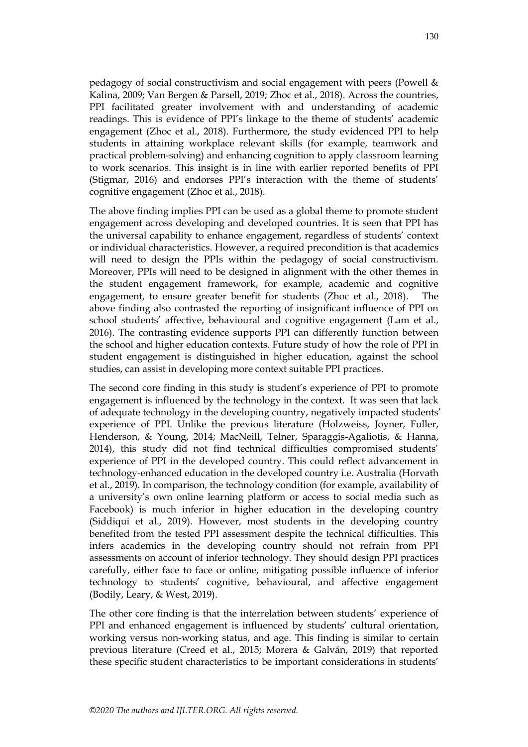pedagogy of social constructivism and social engagement with peers (Powell & Kalina, 2009; Van Bergen & Parsell, 2019; Zhoc et al., 2018). Across the countries, PPI facilitated greater involvement with and understanding of academic readings. This is evidence of PPI's linkage to the theme of students' academic engagement (Zhoc et al., 2018). Furthermore, the study evidenced PPI to help students in attaining workplace relevant skills (for example, teamwork and practical problem-solving) and enhancing cognition to apply classroom learning to work scenarios. This insight is in line with earlier reported benefits of PPI (Stigmar, 2016) and endorses PPI's interaction with the theme of students' cognitive engagement (Zhoc et al., 2018).

The above finding implies PPI can be used as a global theme to promote student engagement across developing and developed countries. It is seen that PPI has the universal capability to enhance engagement, regardless of students' context or individual characteristics. However, a required precondition is that academics will need to design the PPIs within the pedagogy of social constructivism. Moreover, PPIs will need to be designed in alignment with the other themes in the student engagement framework, for example, academic and cognitive engagement, to ensure greater benefit for students (Zhoc et al., 2018). The above finding also contrasted the reporting of insignificant influence of PPI on school students' affective, behavioural and cognitive engagement (Lam et al., 2016). The contrasting evidence supports PPI can differently function between the school and higher education contexts. Future study of how the role of PPI in student engagement is distinguished in higher education, against the school studies, can assist in developing more context suitable PPI practices.

The second core finding in this study is student's experience of PPI to promote engagement is influenced by the technology in the context. It was seen that lack of adequate technology in the developing country, negatively impacted students' experience of PPI. Unlike the previous literature (Holzweiss, Joyner, Fuller, Henderson, & Young, 2014; MacNeill, Telner, Sparaggis-Agaliotis, & Hanna, 2014), this study did not find technical difficulties compromised students' experience of PPI in the developed country. This could reflect advancement in technology-enhanced education in the developed country i.e. Australia (Horvath et al., 2019). In comparison, the technology condition (for example, availability of a university's own online learning platform or access to social media such as Facebook) is much inferior in higher education in the developing country (Siddiqui et al., 2019). However, most students in the developing country benefited from the tested PPI assessment despite the technical difficulties. This infers academics in the developing country should not refrain from PPI assessments on account of inferior technology. They should design PPI practices carefully, either face to face or online, mitigating possible influence of inferior technology to students' cognitive, behavioural, and affective engagement (Bodily, Leary, & West, 2019).

The other core finding is that the interrelation between students' experience of PPI and enhanced engagement is influenced by students' cultural orientation, working versus non-working status, and age. This finding is similar to certain previous literature (Creed et al., 2015; Morera & Galván, 2019) that reported these specific student characteristics to be important considerations in students'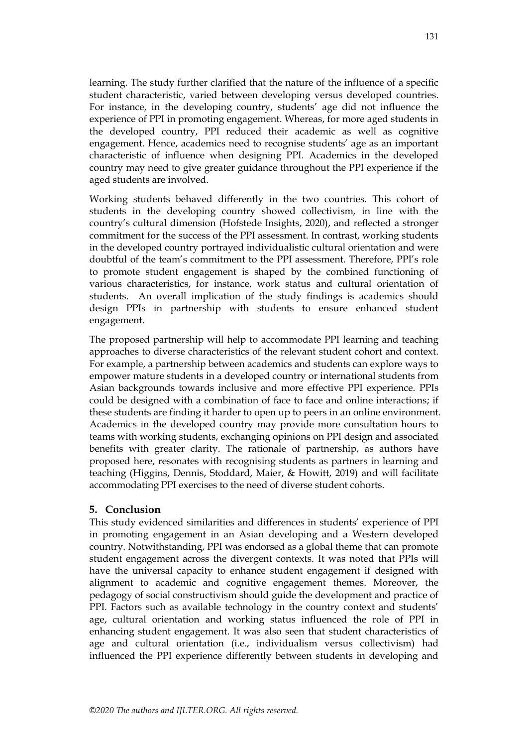learning. The study further clarified that the nature of the influence of a specific student characteristic, varied between developing versus developed countries. For instance, in the developing country, students' age did not influence the experience of PPI in promoting engagement. Whereas, for more aged students in the developed country, PPI reduced their academic as well as cognitive engagement. Hence, academics need to recognise students' age as an important characteristic of influence when designing PPI. Academics in the developed country may need to give greater guidance throughout the PPI experience if the aged students are involved.

Working students behaved differently in the two countries. This cohort of students in the developing country showed collectivism, in line with the country's cultural dimension (Hofstede Insights, 2020), and reflected a stronger commitment for the success of the PPI assessment. In contrast, working students in the developed country portrayed individualistic cultural orientation and were doubtful of the team's commitment to the PPI assessment. Therefore, PPI's role to promote student engagement is shaped by the combined functioning of various characteristics, for instance, work status and cultural orientation of students. An overall implication of the study findings is academics should design PPIs in partnership with students to ensure enhanced student engagement.

The proposed partnership will help to accommodate PPI learning and teaching approaches to diverse characteristics of the relevant student cohort and context. For example, a partnership between academics and students can explore ways to empower mature students in a developed country or international students from Asian backgrounds towards inclusive and more effective PPI experience. PPIs could be designed with a combination of face to face and online interactions; if these students are finding it harder to open up to peers in an online environment. Academics in the developed country may provide more consultation hours to teams with working students, exchanging opinions on PPI design and associated benefits with greater clarity. The rationale of partnership, as authors have proposed here, resonates with recognising students as partners in learning and teaching (Higgins, Dennis, Stoddard, Maier, & Howitt, 2019) and will facilitate accommodating PPI exercises to the need of diverse student cohorts.

#### **5. Conclusion**

This study evidenced similarities and differences in students' experience of PPI in promoting engagement in an Asian developing and a Western developed country. Notwithstanding, PPI was endorsed as a global theme that can promote student engagement across the divergent contexts. It was noted that PPIs will have the universal capacity to enhance student engagement if designed with alignment to academic and cognitive engagement themes. Moreover, the pedagogy of social constructivism should guide the development and practice of PPI. Factors such as available technology in the country context and students' age, cultural orientation and working status influenced the role of PPI in enhancing student engagement. It was also seen that student characteristics of age and cultural orientation (i.e., individualism versus collectivism) had influenced the PPI experience differently between students in developing and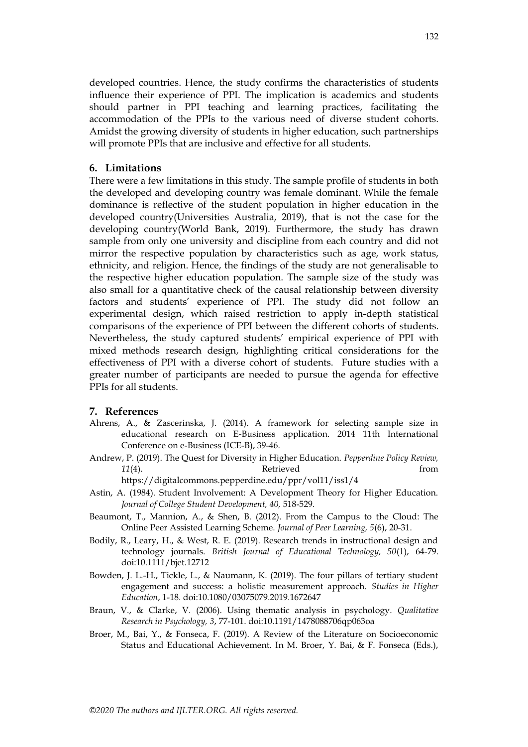developed countries. Hence, the study confirms the characteristics of students influence their experience of PPI. The implication is academics and students should partner in PPI teaching and learning practices, facilitating the accommodation of the PPIs to the various need of diverse student cohorts. Amidst the growing diversity of students in higher education, such partnerships will promote PPIs that are inclusive and effective for all students.

#### **6. Limitations**

There were a few limitations in this study. The sample profile of students in both the developed and developing country was female dominant. While the female dominance is reflective of the student population in higher education in the developed country(Universities Australia, 2019), that is not the case for the developing country(World Bank, 2019). Furthermore, the study has drawn sample from only one university and discipline from each country and did not mirror the respective population by characteristics such as age, work status, ethnicity, and religion. Hence, the findings of the study are not generalisable to the respective higher education population. The sample size of the study was also small for a quantitative check of the causal relationship between diversity factors and students' experience of PPI. The study did not follow an experimental design, which raised restriction to apply in-depth statistical comparisons of the experience of PPI between the different cohorts of students. Nevertheless, the study captured students' empirical experience of PPI with mixed methods research design, highlighting critical considerations for the effectiveness of PPI with a diverse cohort of students. Future studies with a greater number of participants are needed to pursue the agenda for effective PPIs for all students.

#### **7. References**

- Ahrens, A., & Zascerinska, J. (2014). A framework for selecting sample size in educational research on E-Business application. 2014 11th International Conference on e-Business (ICE-B), 39-46.
- Andrew, P. (2019). The Quest for Diversity in Higher Education. *Pepperdine Policy Review, 11*(4). Retrieved from

https://digitalcommons.pepperdine.edu/ppr/vol11/iss1/4

- Astin, A. (1984). Student Involvement: A Development Theory for Higher Education. *Journal of College Student Development, 40,* 518-529.
- Beaumont, T., Mannion, A., & Shen, B. (2012). From the Campus to the Cloud: The Online Peer Assisted Learning Scheme. *Journal of Peer Learning, 5*(6), 20-31.
- Bodily, R., Leary, H., & West, R. E. (2019). Research trends in instructional design and technology journals. *British Journal of Educational Technology, 50*(1), 64-79. doi:10.1111/bjet.12712
- Bowden, J. L.-H., Tickle, L., & Naumann, K. (2019). The four pillars of tertiary student engagement and success: a holistic measurement approach. *Studies in Higher Education*, 1-18. doi:10.1080/03075079.2019.1672647
- Braun, V., & Clarke, V. (2006). Using thematic analysis in psychology. *Qualitative Research in Psychology, 3*, 77-101. doi:10.1191/1478088706qp063oa
- Broer, M., Bai, Y., & Fonseca, F. (2019). A Review of the Literature on Socioeconomic Status and Educational Achievement. In M. Broer, Y. Bai, & F. Fonseca (Eds.),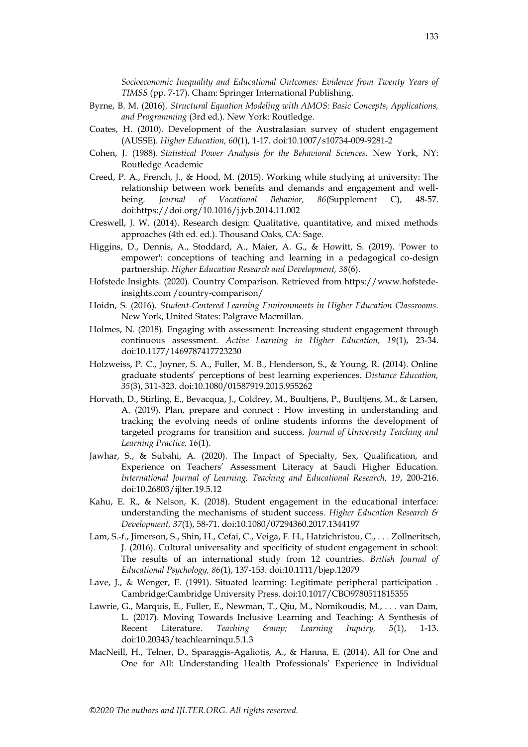*Socioeconomic Inequality and Educational Outcomes: Evidence from Twenty Years of TIMSS* (pp. 7-17). Cham: Springer International Publishing.

- Byrne, B. M. (2016). *Structural Equation Modeling with AMOS: Basic Concepts, Applications, and Programming* (3rd ed.). New York: Routledge.
- Coates, H. (2010). Development of the Australasian survey of student engagement (AUSSE). *Higher Education, 60*(1), 1-17. doi:10.1007/s10734-009-9281-2
- Cohen, J. (1988). *Statistical Power Analysis for the Behavioral Sciences*. New York, NY: Routledge Academic
- Creed, P. A., French, J., & Hood, M. (2015). Working while studying at university: The relationship between work benefits and demands and engagement and wellbeing. *Journal of Vocational Behavior, 86*(Supplement C), 48-57. doi:https://doi.org/10.1016/j.jvb.2014.11.002
- Creswell, J. W. (2014). Research design: Qualitative, quantitative, and mixed methods approaches (4th ed. ed.). Thousand Oaks, CA: Sage.
- Higgins, D., Dennis, A., Stoddard, A., Maier, A. G., & Howitt, S. (2019). 'Power to empower': conceptions of teaching and learning in a pedagogical co-design partnership. *Higher Education Research and Development, 38*(6).
- Hofstede Insights. (2020). Country Comparison. Retrieved from https://www.hofstedeinsights.com /country-comparison/
- Hoidn, S. (2016). *Student-Centered Learning Environments in Higher Education Classrooms*. New York, United States: Palgrave Macmillan.
- Holmes, N. (2018). Engaging with assessment: Increasing student engagement through continuous assessment. *Active Learning in Higher Education, 19*(1), 23-34. doi:10.1177/1469787417723230
- Holzweiss, P. C., Joyner, S. A., Fuller, M. B., Henderson, S., & Young, R. (2014). Online graduate students' perceptions of best learning experiences. *Distance Education, 35*(3), 311-323. doi:10.1080/01587919.2015.955262
- Horvath, D., Stirling, E., Bevacqua, J., Coldrey, M., Buultjens, P., Buultjens, M., & Larsen, A. (2019). Plan, prepare and connect : How investing in understanding and tracking the evolving needs of online students informs the development of targeted programs for transition and success. *Journal of University Teaching and Learning Practice, 16*(1).
- Jawhar, S., & Subahi, A. (2020). The Impact of Specialty, Sex, Qualification, and Experience on Teachers' Assessment Literacy at Saudi Higher Education. *International Journal of Learning, Teaching and Educational Research, 19*, 200-216. doi:10.26803/ijlter.19.5.12
- Kahu, E. R., & Nelson, K. (2018). Student engagement in the educational interface: understanding the mechanisms of student success. *Higher Education Research & Development, 37*(1), 58-71. doi:10.1080/07294360.2017.1344197
- Lam, S.-f., Jimerson, S., Shin, H., Cefai, C., Veiga, F. H., Hatzichristou, C., . . . Zollneritsch, J. (2016). Cultural universality and specificity of student engagement in school: The results of an international study from 12 countries. *British Journal of Educational Psychology, 86*(1), 137-153. doi:10.1111/bjep.12079
- Lave, J., & Wenger, E. (1991). Situated learning: Legitimate peripheral participation . Cambridge:Cambridge University Press. doi:10.1017/CBO9780511815355
- Lawrie, G., Marquis, E., Fuller, E., Newman, T., Qiu, M., Nomikoudis, M., . . . van Dam, L. (2017). Moving Towards Inclusive Learning and Teaching: A Synthesis of Recent Literature. *Teaching & amp*; Learning Inquiry, 5(1), 1-13. doi:10.20343/teachlearninqu.5.1.3
- MacNeill, H., Telner, D., Sparaggis-Agaliotis, A., & Hanna, E. (2014). All for One and One for All: Understanding Health Professionals' Experience in Individual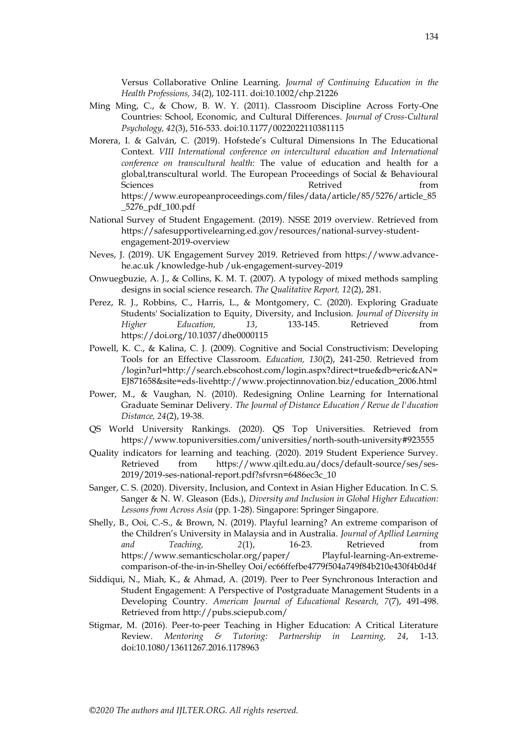Versus Collaborative Online Learning. *Journal of Continuing Education in the Health Professions, 34*(2), 102-111. doi:10.1002/chp.21226

- Ming Ming, C., & Chow, B. W. Y. (2011). Classroom Discipline Across Forty-One Countries: School, Economic, and Cultural Differences. *Journal of Cross-Cultural Psychology, 42*(3), 516-533. doi:10.1177/0022022110381115
- Morera, I. & Galván, C. (2019). Hofstede's Cultural Dimensions In The Educational Context*. VIII International conference on intercultural education and International conference on transcultural health:* The value of education and health for a global,transcultural world. The European Proceedings of Social & Behavioural Sciences **Retrived** from https://www.europeanproceedings.com/files/data/article/85/5276/article\_85 \_5276\_pdf\_100.pdf
- National Survey of Student Engagement. (2019). NSSE 2019 overview. Retrieved from https://safesupportivelearning.ed.gov/resources/national-survey-studentengagement-2019-overview
- Neves, J. (2019). UK Engagement Survey 2019. Retrieved from https://www.advancehe.ac.uk /knowledge-hub /uk-engagement-survey-2019
- Onwuegbuzie, A. J., & Collins, K. M. T. (2007). A typology of mixed methods sampling designs in social science research. *The Qualitative Report, 12*(2), 281.
- Perez, R. J., Robbins, C., Harris, L., & Montgomery, C. (2020). Exploring Graduate Students' Socialization to Equity, Diversity, and Inclusion. *Journal of Diversity in Higher Education, 13*, 133-145. Retrieved from https://doi.org/10.1037/dhe0000115
- Powell, K. C., & Kalina, C. J. (2009). Cognitive and Social Constructivism: Developing Tools for an Effective Classroom. *Education, 130*(2), 241-250. Retrieved from /login?url=http://search.ebscohost.com/login.aspx?direct=true&db=eric&AN= EJ871658&site=eds-livehttp://www.projectinnovation.biz/education\_2006.html
- Power, M., & Vaughan, N. (2010). Redesigning Online Learning for International Graduate Seminar Delivery. *The Journal of Distance Education / Revue de l'ducation Distance, 24*(2), 19-38.
- QS World University Rankings. (2020). QS Top Universities. Retrieved from https://www.topuniversities.com/universities/north-south-university#923555
- Quality indicators for learning and teaching. (2020). 2019 Student Experience Survey. Retrieved from https://www.qilt.edu.au/docs/default-source/ses/ses-2019/2019-ses-national-report.pdf?sfvrsn=6486ec3c\_10
- Sanger, C. S. (2020). Diversity, Inclusion, and Context in Asian Higher Education. In C. S. Sanger & N. W. Gleason (Eds.), *Diversity and Inclusion in Global Higher Education: Lessons from Across Asia* (pp. 1-28). Singapore: Springer Singapore.
- Shelly, B., Ooi, C.-S., & Brown, N. (2019). Playful learning? An extreme comparison of the Children's University in Malaysia and in Australia. *Journal of Apllied Learning and Teaching, 2*(1), 16-23. Retrieved from https://www.semanticscholar.org/paper/ Playful-learning-An-extremecomparison-of-the-in-in-Shelley Ooi/ec66ffefbe4779f504a749f84b210e430f4b0d4f
- Siddiqui, N., Miah, K., & Ahmad, A. (2019). Peer to Peer Synchronous Interaction and Student Engagement: A Perspective of Postgraduate Management Students in a Developing Country. *American Journal of Educational Research, 7*(7), 491-498. Retrieved from http://pubs.sciepub.com/
- Stigmar, M. (2016). Peer-to-peer Teaching in Higher Education: A Critical Literature Review. *Mentoring & Tutoring: Partnership in Learning, 24*, 1-13. doi:10.1080/13611267.2016.1178963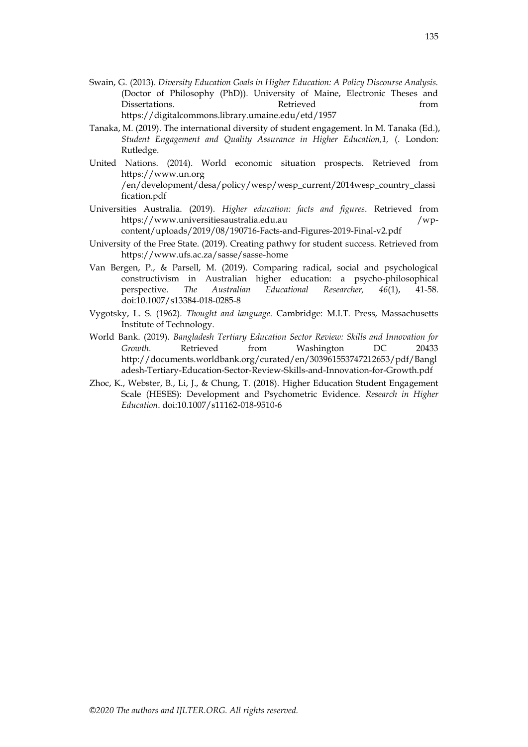- Swain, G. (2013). *Diversity Education Goals in Higher Education: A Policy Discourse Analysis.* (Doctor of Philosophy (PhD)). University of Maine, Electronic Theses and Dissertations. The Retrieved control of the Retrieved from the from  $\mathbb{R}$ https://digitalcommons.library.umaine.edu/etd/1957
- Tanaka, M. (2019). The international diversity of student engagement. In M. Tanaka (Ed.), *Student Engagement and Quality Assurance in Higher Education,1,* (. London: Rutledge.
- United Nations. (2014). World economic situation prospects. Retrieved from https://www.un.org /en/development/desa/policy/wesp/wesp\_current/2014wesp\_country\_classi fication.pdf
- Universities Australia. (2019). *Higher education: facts and figures*. Retrieved from https://www.universitiesaustralia.edu.au /wpcontent/uploads/2019/08/190716-Facts-and-Figures-2019-Final-v2.pdf
- University of the Free State. (2019). Creating pathwy for student success. Retrieved from https://www.ufs.ac.za/sasse/sasse-home
- Van Bergen, P., & Parsell, M. (2019). Comparing radical, social and psychological constructivism in Australian higher education: a psycho-philosophical perspective. *The Australian Educational Researcher, 46*(1), 41-58. doi:10.1007/s13384-018-0285-8
- Vygotsky, L. S. (1962). *Thought and language*. Cambridge: M.I.T. Press, Massachusetts Institute of Technology.
- World Bank. (2019). *Bangladesh Tertiary Education Sector Review: Skills and Innovation for Growth*. Retrieved from Washington DC 20433 http://documents.worldbank.org/curated/en/303961553747212653/pdf/Bangl adesh-Tertiary-Education-Sector-Review-Skills-and-Innovation-for-Growth.pdf
- Zhoc, K., Webster, B., Li, J., & Chung, T. (2018). Higher Education Student Engagement Scale (HESES): Development and Psychometric Evidence. *Research in Higher Education*. doi:10.1007/s11162-018-9510-6